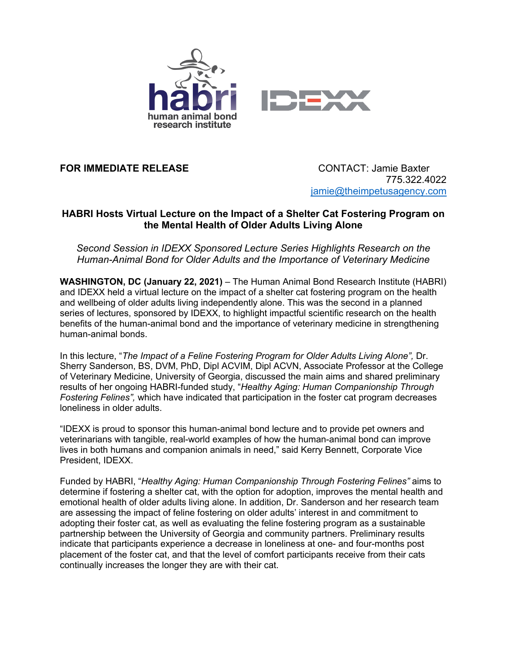

**FOR IMMEDIATE RELEASE** CONTACT: Jamie Baxter

775.322.4022 jamie@theimpetusagency.com

## **HABRI Hosts Virtual Lecture on the Impact of a Shelter Cat Fostering Program on the Mental Health of Older Adults Living Alone**

*Second Session in IDEXX Sponsored Lecture Series Highlights Research on the Human-Animal Bond for Older Adults and the Importance of Veterinary Medicine* 

**WASHINGTON, DC (January 22, 2021)** – The Human Animal Bond Research Institute (HABRI) and IDEXX held a virtual lecture on the impact of a shelter cat fostering program on the health and wellbeing of older adults living independently alone. This was the second in a planned series of lectures, sponsored by IDEXX, to highlight impactful scientific research on the health benefits of the human-animal bond and the importance of veterinary medicine in strengthening human-animal bonds.

In this lecture, "*The Impact of a Feline Fostering Program for Older Adults Living Alone",* Dr. Sherry Sanderson, BS, DVM, PhD, Dipl ACVIM, Dipl ACVN, Associate Professor at the College of Veterinary Medicine, University of Georgia, discussed the main aims and shared preliminary results of her ongoing HABRI-funded study, "*Healthy Aging: Human Companionship Through Fostering Felines",* which have indicated that participation in the foster cat program decreases loneliness in older adults.

"IDEXX is proud to sponsor this human-animal bond lecture and to provide pet owners and veterinarians with tangible, real-world examples of how the human-animal bond can improve lives in both humans and companion animals in need," said Kerry Bennett, Corporate Vice President, IDEXX.

Funded by HABRI, "*Healthy Aging: Human Companionship Through Fostering Felines"* aims to determine if fostering a shelter cat, with the option for adoption, improves the mental health and emotional health of older adults living alone. In addition, Dr. Sanderson and her research team are assessing the impact of feline fostering on older adults' interest in and commitment to adopting their foster cat, as well as evaluating the feline fostering program as a sustainable partnership between the University of Georgia and community partners. Preliminary results indicate that participants experience a decrease in loneliness at one- and four-months post placement of the foster cat, and that the level of comfort participants receive from their cats continually increases the longer they are with their cat.